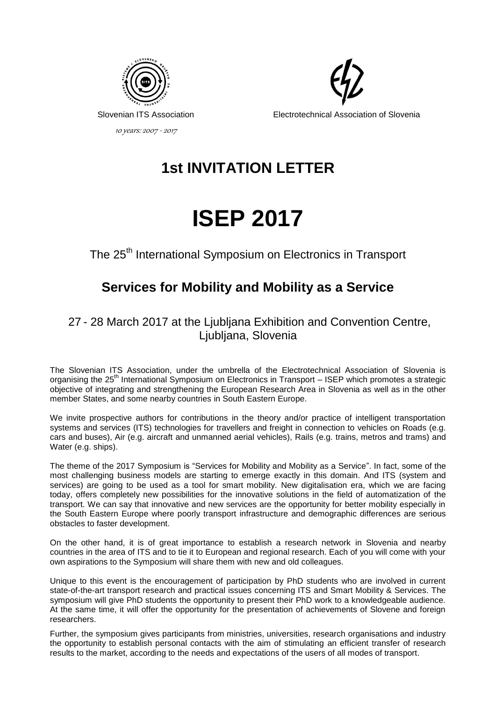

Electrotechnical Association of Slovenia

# **1st INVITATION LETTER**



The 25<sup>th</sup> International Symposium on Electronics in Transport

# **Services for Mobility and Mobility as a Service**

27 - 28 March 2017 at the Ljubljana Exhibition and Convention Centre, Ljubljana, Slovenia

The Slovenian ITS Association, under the umbrella of the Electrotechnical Association of Slovenia is organising the 25<sup>th</sup> International Symposium on Electronics in Transport – ISEP which promotes a strategic objective of integrating and strengthening the European Research Area in Slovenia as well as in the other member States, and some nearby countries in South Eastern Europe.

We invite prospective authors for contributions in the theory and/or practice of intelligent transportation systems and services (ITS) technologies for travellers and freight in connection to vehicles on Roads (e.g. cars and buses), Air (e.g. aircraft and unmanned aerial vehicles), Rails (e.g. trains, metros and trams) and Water (e.g. ships).

The theme of the 2017 Symposium is "Services for Mobility and Mobility as a Service". In fact, some of the most challenging business models are starting to emerge exactly in this domain. And ITS (system and services) are going to be used as a tool for smart mobility. New digitalisation era, which we are facing today, offers completely new possibilities for the innovative solutions in the field of automatization of the transport. We can say that innovative and new services are the opportunity for better mobility especially in the South Eastern Europe where poorly transport infrastructure and demographic differences are serious obstacles to faster development.

On the other hand, it is of great importance to establish a research network in Slovenia and nearby countries in the area of ITS and to tie it to European and regional research. Each of you will come with your own aspirations to the Symposium will share them with new and old colleagues.

Unique to this event is the encouragement of participation by PhD students who are involved in current state-of-the-art transport research and practical issues concerning ITS and Smart Mobility & Services. The symposium will give PhD students the opportunity to present their PhD work to a knowledgeable audience. At the same time, it will offer the opportunity for the presentation of achievements of Slovene and foreign researchers.

Further, the symposium gives participants from ministries, universities, research organisations and industry the opportunity to establish personal contacts with the aim of stimulating an efficient transfer of research results to the market, according to the needs and expectations of the users of all modes of transport.